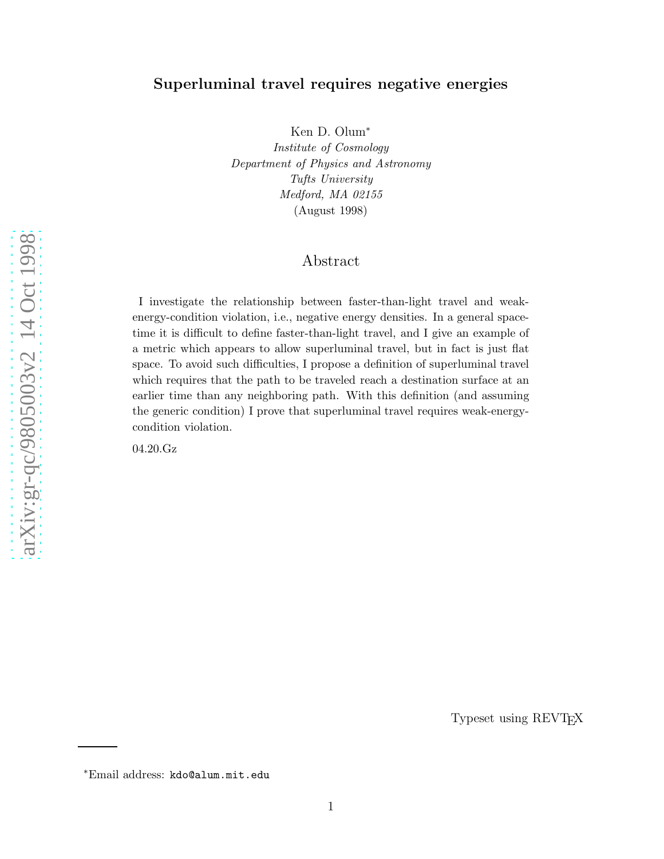## Superluminal travel requires negative energies

Ken D. Olum ∗ Institute of Cosmology Department of Physics and Astronomy Tufts University Medford, MA 02155 (August 1998)

## Abstract

I investigate the relationship between faster-than-light travel and weakenergy-condition violation, i.e., negative energy densities. In a general spacetime it is difficult to define faster-than-light travel, and I give an example of a metric which appears to allow superluminal travel, but in fact is just flat space. To avoid such difficulties, I propose a definition of superluminal travel which requires that the path to be traveled reach a destination surface at an earlier time than any neighboring path. With this definition (and assuming the generic condition) I prove that superluminal travel requires weak-energycondition violation.

04.20.Gz

Typeset using REVTEX

<sup>∗</sup>Email address: kdo@alum.mit.edu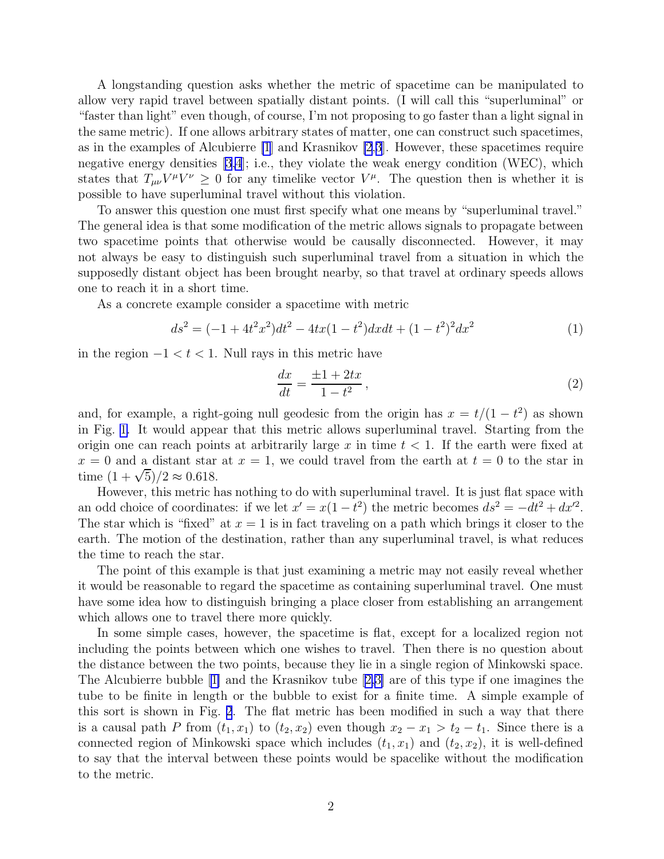<span id="page-1-0"></span>A longstanding question asks whether the metric of spacetime can be manipulated to allow very rapid travel between spatially distant points. (I will call this "superluminal" or "faster than light" even though, of course, I'm not proposing to go faster than a light signal in the same metric). If one allows arbitrary states of matter, one can construct such spacetimes, as in the examples of Alcubierre [\[1](#page-7-0)] and Krasnikov [\[2](#page-7-0),[3](#page-7-0)]. However, these spacetimes require negative energy densities  $[3,4]$ ; i.e., they violate the weak energy condition (WEC), which states that  $T_{\mu\nu}V^{\mu}V^{\nu} \geq 0$  for any timelike vector  $V^{\mu}$ . The question then is whether it is possible to have superluminal travel without this violation.

To answer this question one must first specify what one means by "superluminal travel." The general idea is that some modification of the metric allows signals to propagate between two spacetime points that otherwise would be causally disconnected. However, it may not always be easy to distinguish such superluminal travel from a situation in which the supposedly distant object has been brought nearby, so that travel at ordinary speeds allows one to reach it in a short time.

As a concrete example consider a spacetime with metric

$$
ds^{2} = (-1 + 4t^{2}x^{2})dt^{2} - 4tx(1 - t^{2})dxdt + (1 - t^{2})^{2}dx^{2}
$$
\n(1)

in the region  $-1 < t < 1$ . Null rays in this metric have

$$
\frac{dx}{dt} = \frac{\pm 1 + 2tx}{1 - t^2},
$$
\n(2)

and, for example, a right-going null geodesic from the origin has  $x = t/(1 - t^2)$  as shown in Fig. [1.](#page-2-0) It would appear that this metric allows superluminal travel. Starting from the origin one can reach points at arbitrarily large x in time  $t < 1$ . If the earth were fixed at  $x = 0$  and a distant star at  $x = 1$ , we could travel from the earth at  $t = 0$  to the star in time  $(1 + \sqrt{5})/2 \approx 0.618$ .

However, this metric has nothing to do with superluminal travel. It is just flat space with an odd choice of coordinates: if we let  $x' = x(1 - t^2)$  the metric becomes  $ds^2 = -dt^2 + dx'^2$ . The star which is "fixed" at  $x = 1$  is in fact traveling on a path which brings it closer to the earth. The motion of the destination, rather than any superluminal travel, is what reduces the time to reach the star.

The point of this example is that just examining a metric may not easily reveal whether it would be reasonable to regard the spacetime as containing superluminal travel. One must have some idea how to distinguish bringing a place closer from establishing an arrangement which allows one to travel there more quickly.

In some simple cases, however, the spacetime is flat, except for a localized region not including the points between which one wishes to travel. Then there is no question about the distance between the two points, because they lie in a single region of Minkowski space. The Alcubierre bubble[[1\]](#page-7-0) and the Krasnikov tube[[2,3\]](#page-7-0) are of this type if one imagines the tube to be finite in length or the bubble to exist for a finite time. A simple example of this sort is shown in Fig. [2](#page-2-0). The flat metric has been modified in such a way that there is a causal path P from  $(t_1, x_1)$  to  $(t_2, x_2)$  even though  $x_2 - x_1 > t_2 - t_1$ . Since there is a connected region of Minkowski space which includes  $(t_1, x_1)$  and  $(t_2, x_2)$ , it is well-defined to say that the interval between these points would be spacelike without the modification to the metric.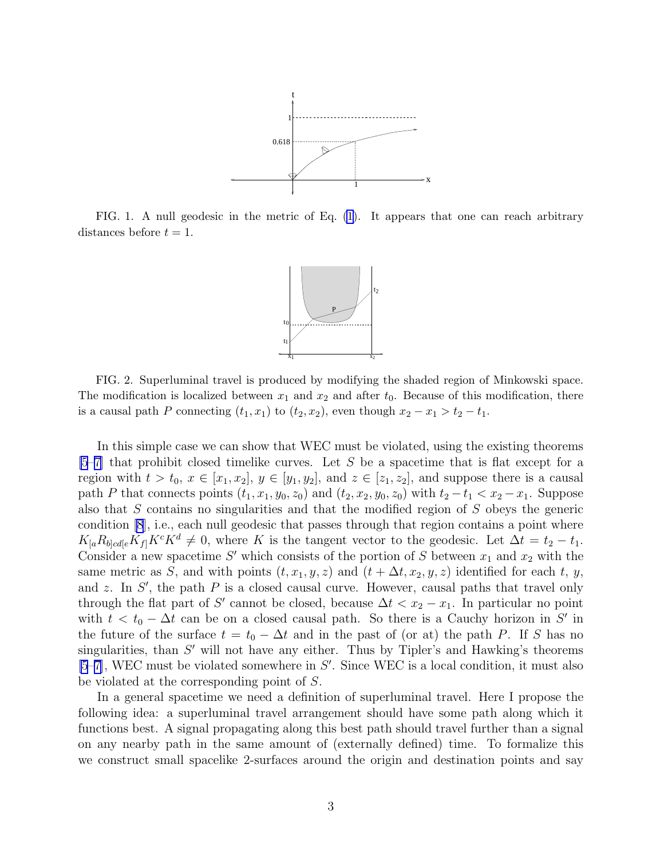

<span id="page-2-0"></span>FIG. 1. A null geodesic in the metric of Eq. [\(1\)](#page-1-0). It appears that one can reach arbitrary distances before  $t = 1$ .



FIG. 2. Superluminal travel is produced by modifying the shaded region of Minkowski space. The modification is localized between  $x_1$  and  $x_2$  and after  $t_0$ . Because of this modification, there is a causal path P connecting  $(t_1, x_1)$  to  $(t_2, x_2)$ , even though  $x_2 - x_1 > t_2 - t_1$ .

In this simple case we can show that WEC must be violated, using the existing theorems  $[5-7]$  $[5-7]$  $[5-7]$  that prohibit closed timelike curves. Let S be a spacetime that is flat except for a region with  $t > t_0, x \in [x_1, x_2], y \in [y_1, y_2],$  and  $z \in [z_1, z_2],$  and suppose there is a causal path P that connects points  $(t_1, x_1, y_0, z_0)$  and  $(t_2, x_2, y_0, z_0)$  with  $t_2 - t_1 < x_2 - x_1$ . Suppose also that  $S$  contains no singularities and that the modified region of  $S$  obeys the generic condition [\[8](#page-7-0)], i.e., each null geodesic that passes through that region contains a point where  $K_{[a}R_{b]cd[e}K_{f]}K^{c}K^{d} \neq 0$ , where K is the tangent vector to the geodesic. Let  $\Delta t = t_2 - t_1$ . Consider a new spacetime S' which consists of the portion of S between  $x_1$  and  $x_2$  with the same metric as S, and with points  $(t, x_1, y, z)$  and  $(t + \Delta t, x_2, y, z)$  identified for each t, y, and z. In  $S'$ , the path P is a closed causal curve. However, causal paths that travel only through the flat part of S' cannot be closed, because  $\Delta t < x_2 - x_1$ . In particular no point with  $t < t_0 - \Delta t$  can be on a closed causal path. So there is a Cauchy horizon in S' in the future of the surface  $t = t_0 - \Delta t$  and in the past of (or at) the path P. If S has no singularities, than  $S'$  will not have any either. Thus by Tipler's and Hawking's theorems  $[5–7]$  $[5–7]$  $[5–7]$ , WEC must be violated somewhere in  $S'$ . Since WEC is a local condition, it must also be violated at the corresponding point of S.

In a general spacetime we need a definition of superluminal travel. Here I propose the following idea: a superluminal travel arrangement should have some path along which it functions best. A signal propagating along this best path should travel further than a signal on any nearby path in the same amount of (externally defined) time. To formalize this we construct small spacelike 2-surfaces around the origin and destination points and say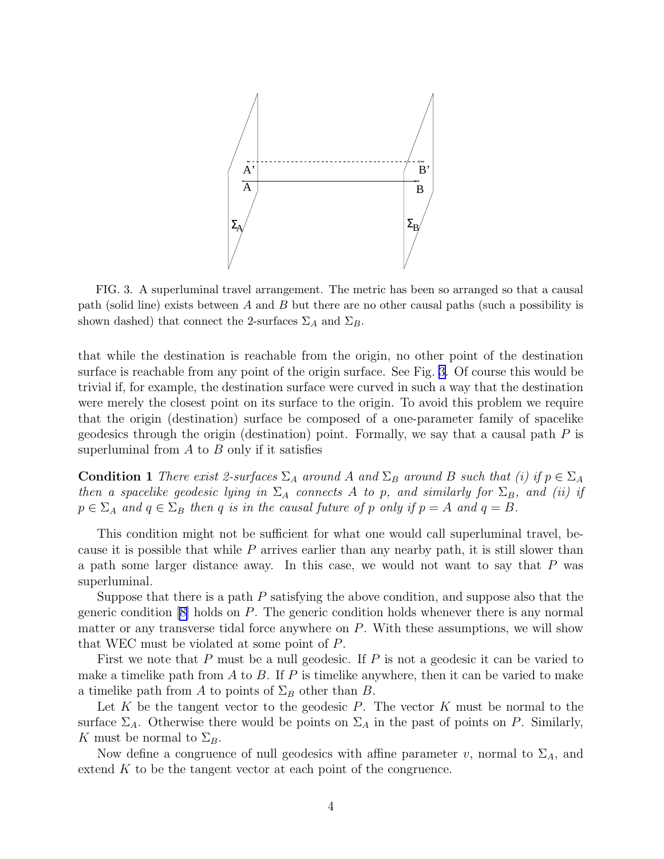

FIG. 3. A superluminal travel arrangement. The metric has been so arranged so that a causal path (solid line) exists between A and B but there are no other causal paths (such a possibility is shown dashed) that connect the 2-surfaces  $\Sigma_A$  and  $\Sigma_B$ .

that while the destination is reachable from the origin, no other point of the destination surface is reachable from any point of the origin surface. See Fig. 3. Of course this would be trivial if, for example, the destination surface were curved in such a way that the destination were merely the closest point on its surface to the origin. To avoid this problem we require that the origin (destination) surface be composed of a one-parameter family of spacelike geodesics through the origin (destination) point. Formally, we say that a causal path  $P$  is superluminal from  $A$  to  $B$  only if it satisfies

**Condition 1** There exist 2-surfaces  $\Sigma_A$  around A and  $\Sigma_B$  around B such that (i) if  $p \in \Sigma_A$ then a spacelike geodesic lying in  $\Sigma_A$  connects A to p, and similarly for  $\Sigma_B$ , and (ii) if  $p \in \Sigma_A$  and  $q \in \Sigma_B$  then q is in the causal future of p only if  $p = A$  and  $q = B$ .

This condition might not be sufficient for what one would call superluminal travel, because it is possible that while  $P$  arrives earlier than any nearby path, it is still slower than a path some larger distance away. In this case, we would not want to say that  $P$  was superluminal.

Suppose that there is a path  $P$  satisfying the above condition, and suppose also that the genericcondition  $|8|$  holds on P. The generic condition holds whenever there is any normal matter or any transverse tidal force anywhere on  $P$ . With these assumptions, we will show that WEC must be violated at some point of P.

First we note that P must be a null geodesic. If P is not a geodesic it can be varied to make a timelike path from  $A$  to  $B$ . If  $P$  is timelike anywhere, then it can be varied to make a timelike path from A to points of  $\Sigma_B$  other than B.

Let K be the tangent vector to the geodesic P. The vector K must be normal to the surface  $\Sigma_A$ . Otherwise there would be points on  $\Sigma_A$  in the past of points on P. Similarly, K must be normal to  $\Sigma_B$ .

Now define a congruence of null geodesics with affine parameter v, normal to  $\Sigma_A$ , and extend K to be the tangent vector at each point of the congruence.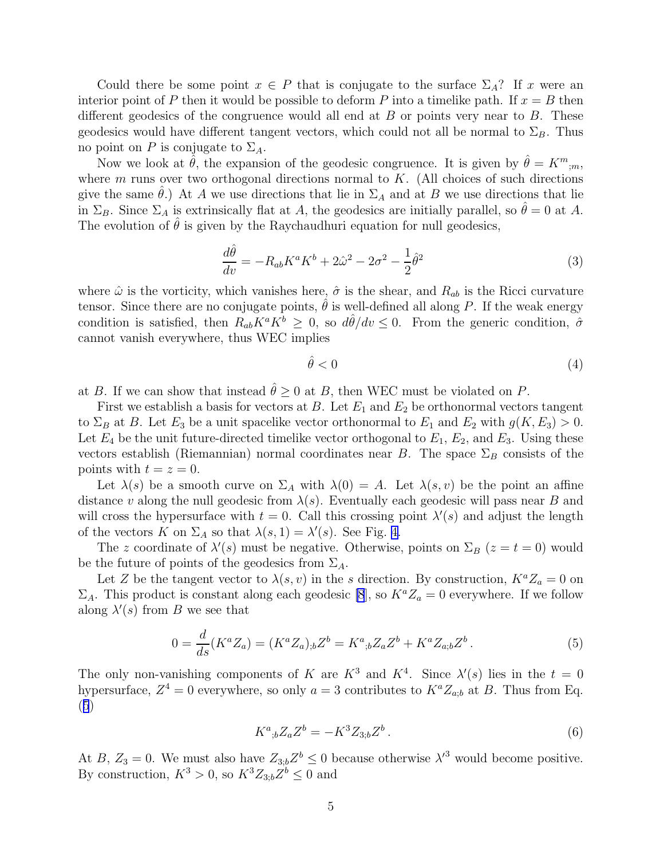<span id="page-4-0"></span>Could there be some point  $x \in P$  that is conjugate to the surface  $\Sigma_A$ ? If x were an interior point of P then it would be possible to deform P into a timelike path. If  $x = B$  then different geodesics of the congruence would all end at  $B$  or points very near to  $B$ . These geodesics would have different tangent vectors, which could not all be normal to  $\Sigma_B$ . Thus no point on P is conjugate to  $\Sigma_A$ .

Now we look at  $\hat{\theta}$ , the expansion of the geodesic congruence. It is given by  $\hat{\theta} = K^m_{\;\;;m}$ , where  $m$  runs over two orthogonal directions normal to  $K$ . (All choices of such directions give the same  $\theta$ .) At A we use directions that lie in  $\Sigma_A$  and at B we use directions that lie in  $\Sigma_B$ . Since  $\Sigma_A$  is extrinsically flat at A, the geodesics are initially parallel, so  $\hat{\theta} = 0$  at A. The evolution of  $\theta$  is given by the Raychaudhuri equation for null geodesics,

$$
\frac{d\hat{\theta}}{dv} = -R_{ab}K^a K^b + 2\hat{\omega}^2 - 2\sigma^2 - \frac{1}{2}\hat{\theta}^2
$$
\n(3)

where  $\hat{\omega}$  is the vorticity, which vanishes here,  $\hat{\sigma}$  is the shear, and  $R_{ab}$  is the Ricci curvature tensor. Since there are no conjugate points,  $\hat{\theta}$  is well-defined all along P. If the weak energy condition is satisfied, then  $R_{ab}K^aK^b \geq 0$ , so  $d\hat{\theta}/dv \leq 0$ . From the generic condition,  $\hat{\sigma}$ cannot vanish everywhere, thus WEC implies

$$
\hat{\theta} < 0 \tag{4}
$$

at B. If we can show that instead  $\hat{\theta} \geq 0$  at B, then WEC must be violated on P.

First we establish a basis for vectors at B. Let  $E_1$  and  $E_2$  be orthonormal vectors tangent to  $\Sigma_B$  at B. Let  $E_3$  be a unit spacelike vector orthonormal to  $E_1$  and  $E_2$  with  $g(K, E_3) > 0$ . Let  $E_4$  be the unit future-directed timelike vector orthogonal to  $E_1, E_2$ , and  $E_3$ . Using these vectors establish (Riemannian) normal coordinates near B. The space  $\Sigma_B$  consists of the points with  $t = z = 0$ .

Let  $\lambda(s)$  be a smooth curve on  $\Sigma_A$  with  $\lambda(0) = A$ . Let  $\lambda(s, v)$  be the point an affine distance v along the null geodesic from  $\lambda(s)$ . Eventually each geodesic will pass near B and will cross the hypersurface with  $t = 0$ . Call this crossing point  $\lambda'(s)$  and adjust the length of the vectors  $\overline{K}$  on  $\Sigma_A$  so that  $\lambda(s,1) = \lambda'(s)$ . See Fig. [4.](#page-5-0)

The z coordinate of  $\lambda'(s)$  must be negative. Otherwise, points on  $\Sigma_B$  ( $z = t = 0$ ) would be the future of points of the geodesics from  $\Sigma_A$ .

Let Z be the tangent vector to  $\lambda(s, v)$  in the s direction. By construction,  $K^a Z_a = 0$  on  $\Sigma_A$ . This product is constant along each geodesic [\[8](#page-7-0)], so  $K^a Z_a = 0$  everywhere. If we follow along  $\lambda'(s)$  from B we see that

$$
0 = \frac{d}{ds}(K^a Z_a) = (K^a Z_a)_{;b} Z^b = K^a_{;b} Z_a Z^b + K^a Z_{a;b} Z^b.
$$
 (5)

The only non-vanishing components of K are  $K^3$  and  $K^4$ . Since  $\lambda'(s)$  lies in the  $t = 0$ hypersurface,  $Z^4 = 0$  everywhere, so only  $a = 3$  contributes to  $K^a Z_{a;b}$  at B. Thus from Eq. (5)

$$
K^{a}{}_{;b}Z_{a}Z^{b} = -K^{3}Z_{3,b}Z^{b}.
$$
\n<sup>(6)</sup>

At  $B, Z_3 = 0$ . We must also have  $Z_{3,b} Z^b \leq 0$  because otherwise  $\lambda'^3$  would become positive. By construction,  $K^3 > 0$ , so  $K^3 Z_{3,b} Z^b \leq 0$  and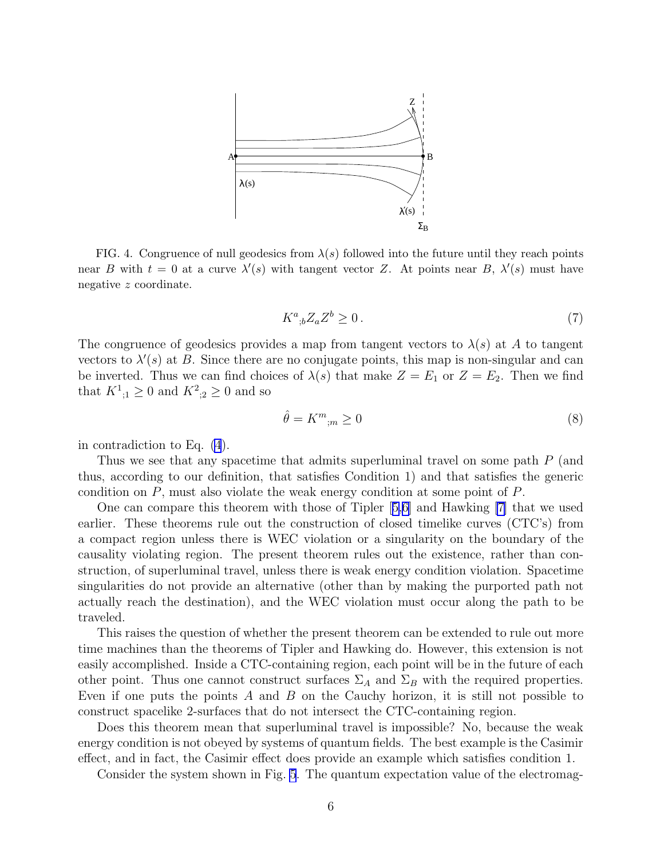<span id="page-5-0"></span>

FIG. 4. Congruence of null geodesics from  $\lambda(s)$  followed into the future until they reach points near B with  $t = 0$  at a curve  $\lambda'(s)$  with tangent vector Z. At points near B,  $\lambda'(s)$  must have negative z coordinate.

$$
K^a_{\;\;b} Z_a Z^b \ge 0 \,. \tag{7}
$$

The congruence of geodesics provides a map from tangent vectors to  $\lambda(s)$  at A to tangent vectors to  $\lambda'(s)$  at B. Since there are no conjugate points, this map is non-singular and can be inverted. Thus we can find choices of  $\lambda(s)$  that make  $Z = E_1$  or  $Z = E_2$ . Then we find that  $K^1_{,1} \ge 0$  and  $K^2_{,2} \ge 0$  and so

$$
\hat{\theta} = K^m_{\ ;m} \ge 0\tag{8}
$$

in contradiction to Eq. [\(4](#page-4-0)).

Thus we see that any spacetime that admits superluminal travel on some path P (and thus, according to our definition, that satisfies Condition 1) and that satisfies the generic condition on P, must also violate the weak energy condition at some point of P.

One can compare this theorem with those of Tipler[[5,6\]](#page-7-0) and Hawking [\[7\]](#page-7-0) that we used earlier. These theorems rule out the construction of closed timelike curves (CTC's) from a compact region unless there is WEC violation or a singularity on the boundary of the causality violating region. The present theorem rules out the existence, rather than construction, of superluminal travel, unless there is weak energy condition violation. Spacetime singularities do not provide an alternative (other than by making the purported path not actually reach the destination), and the WEC violation must occur along the path to be traveled.

This raises the question of whether the present theorem can be extended to rule out more time machines than the theorems of Tipler and Hawking do. However, this extension is not easily accomplished. Inside a CTC-containing region, each point will be in the future of each other point. Thus one cannot construct surfaces  $\Sigma_A$  and  $\Sigma_B$  with the required properties. Even if one puts the points  $A$  and  $B$  on the Cauchy horizon, it is still not possible to construct spacelike 2-surfaces that do not intersect the CTC-containing region.

Does this theorem mean that superluminal travel is impossible? No, because the weak energy condition is not obeyed by systems of quantum fields. The best example is the Casimir effect, and in fact, the Casimir effect does provide an example which satisfies condition 1.

Consider the system shown in Fig. [5](#page-6-0). The quantum expectation value of the electromag-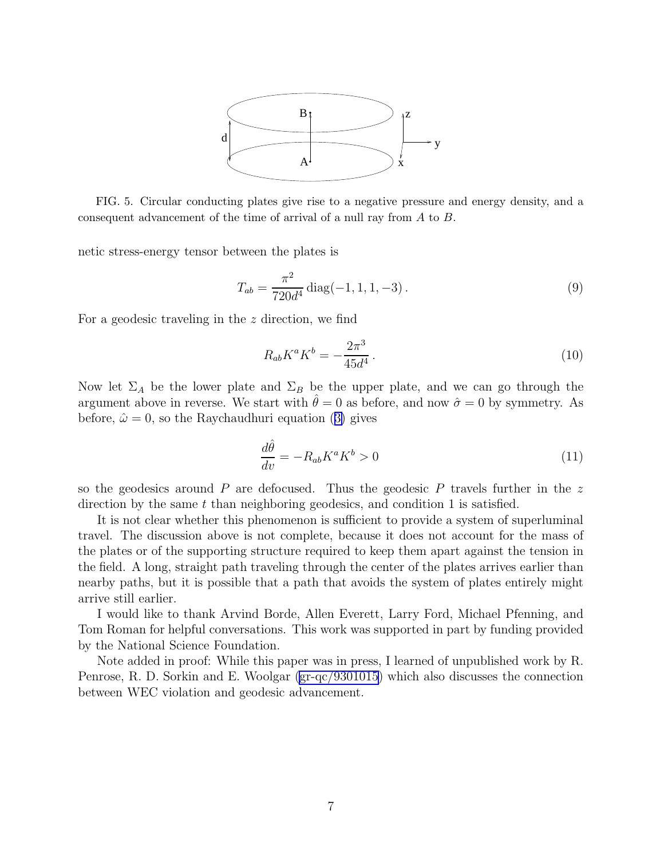

<span id="page-6-0"></span>FIG. 5. Circular conducting plates give rise to a negative pressure and energy density, and a consequent advancement of the time of arrival of a null ray from A to B.

netic stress-energy tensor between the plates is

$$
T_{ab} = \frac{\pi^2}{720d^4} \operatorname{diag}(-1, 1, 1, -3). \tag{9}
$$

For a geodesic traveling in the z direction, we find

$$
R_{ab}K^aK^b = -\frac{2\pi^3}{45d^4}.
$$
\n(10)

Now let  $\Sigma_A$  be the lower plate and  $\Sigma_B$  be the upper plate, and we can go through the argument above in reverse. We start with  $\theta = 0$  as before, and now  $\hat{\sigma} = 0$  by symmetry. As before, $\hat{\omega} = 0$ , so the Raychaudhuri equation ([3\)](#page-4-0) gives

$$
\frac{d\hat{\theta}}{dv} = -R_{ab}K^a K^b > 0\tag{11}
$$

so the geodesics around  $P$  are defocused. Thus the geodesic  $P$  travels further in the  $z$ direction by the same  $t$  than neighboring geodesics, and condition 1 is satisfied.

It is not clear whether this phenomenon is sufficient to provide a system of superluminal travel. The discussion above is not complete, because it does not account for the mass of the plates or of the supporting structure required to keep them apart against the tension in the field. A long, straight path traveling through the center of the plates arrives earlier than nearby paths, but it is possible that a path that avoids the system of plates entirely might arrive still earlier.

I would like to thank Arvind Borde, Allen Everett, Larry Ford, Michael Pfenning, and Tom Roman for helpful conversations. This work was supported in part by funding provided by the National Science Foundation.

Note added in proof: While this paper was in press, I learned of unpublished work by R. Penrose, R. D. Sorkin and E. Woolgar [\(gr-qc/9301015](http://arxiv.org/abs/gr-qc/9301015)) which also discusses the connection between WEC violation and geodesic advancement.